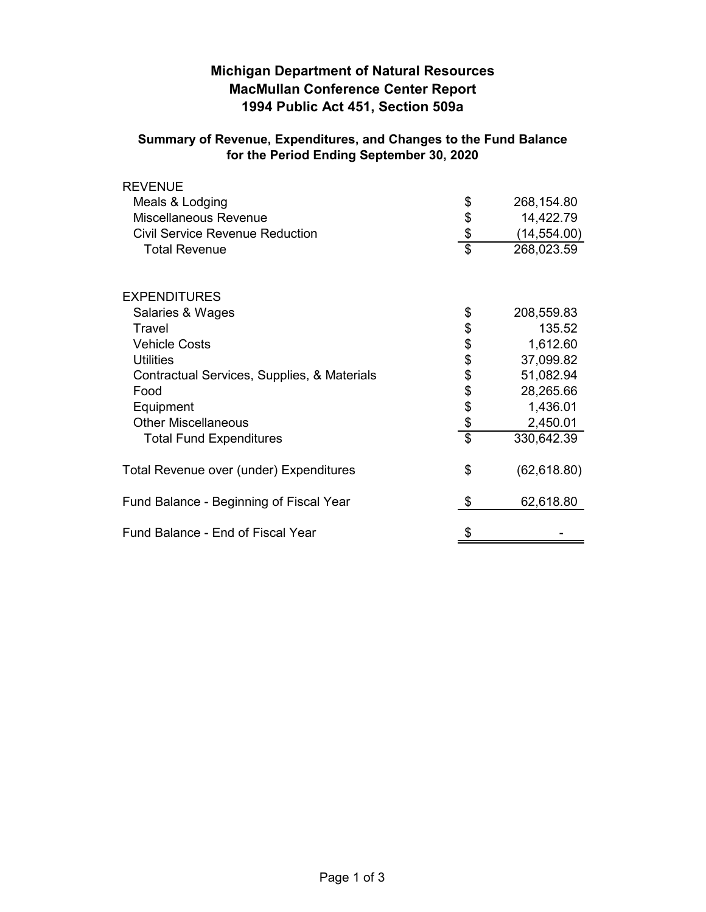# **Michigan Department of Natural Resources MacMullan Conference Center Report 1994 Public Act 451, Section 509a**

## **Summary of Revenue, Expenditures, and Changes to the Fund Balance for the Period Ending September 30, 2020**

| <b>REVENUE</b>                              |                 |              |
|---------------------------------------------|-----------------|--------------|
| Meals & Lodging                             | \$              | 268,154.80   |
| Miscellaneous Revenue                       | \$              | 14,422.79    |
| <b>Civil Service Revenue Reduction</b>      | \$              | (14, 554.00) |
| <b>Total Revenue</b>                        | $\overline{\$}$ | 268,023.59   |
| <b>EXPENDITURES</b>                         |                 |              |
| Salaries & Wages                            | \$              | 208,559.83   |
| Travel                                      | \$              | 135.52       |
| <b>Vehicle Costs</b>                        | \$              | 1,612.60     |
| <b>Utilities</b>                            | \$              | 37,099.82    |
| Contractual Services, Supplies, & Materials | \$              | 51,082.94    |
| Food                                        | \$              | 28,265.66    |
| Equipment                                   | \$              | 1,436.01     |
| <b>Other Miscellaneous</b>                  | \$              | 2,450.01     |
| <b>Total Fund Expenditures</b>              | $\overline{\$}$ | 330,642.39   |
| Total Revenue over (under) Expenditures     | \$              | (62, 618.80) |
| Fund Balance - Beginning of Fiscal Year     | \$              | 62,618.80    |
| Fund Balance - End of Fiscal Year           | \$              |              |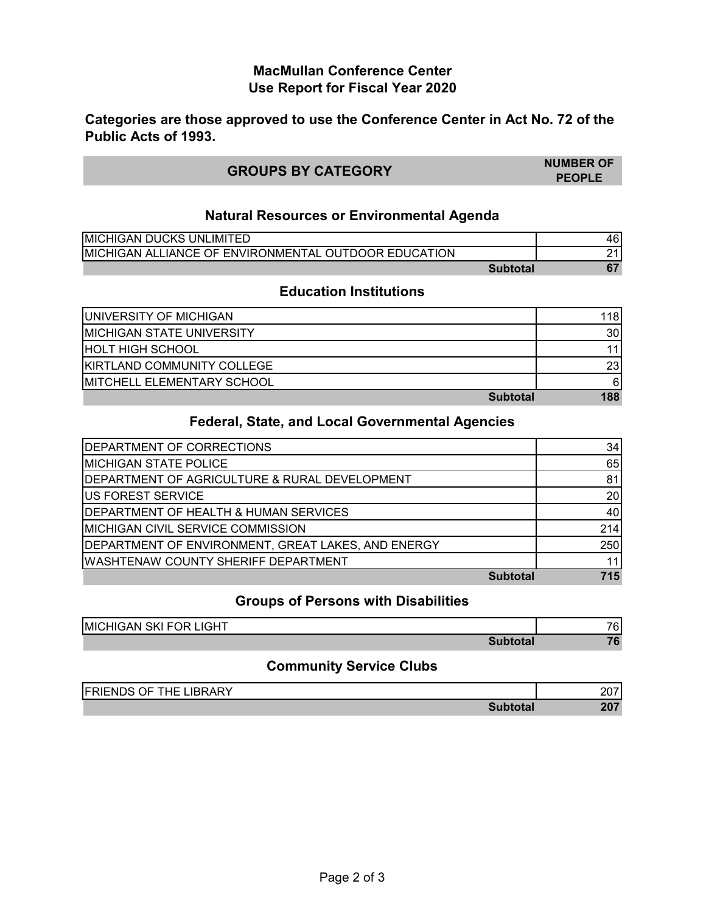## **MacMullan Conference Center Use Report for Fiscal Year 2020**

**Categories are those approved to use the Conference Center in Act No. 72 of the Public Acts of 1993.**

| <b>GROUPS BY CATEGORY</b> | <b>NUMBER OF</b> |
|---------------------------|------------------|
|                           | <b>PEOPLE</b>    |

#### **Natural Resources or Environmental Agenda**

| <b>IMICHIGAN DUCKS UNLIMITED</b>                             | 46 |
|--------------------------------------------------------------|----|
| <b>IMICHIGAN ALLIANCE OF ENVIRONMENTAL OUTDOOR EDUCATION</b> |    |
| Subtotal                                                     |    |

#### **Education Institutions**

| <b>UNIVERSITY OF MICHIGAN</b>      | 118 |
|------------------------------------|-----|
| <b>IMICHIGAN STATE UNIVERSITY</b>  | 30  |
| <b>HOLT HIGH SCHOOL</b>            |     |
| <b>KIRTLAND COMMUNITY COLLEGE</b>  | 23  |
| <b>IMITCHELL ELEMENTARY SCHOOL</b> | 6   |
| <b>Subtotal</b>                    | 188 |

## **Federal, State, and Local Governmental Agencies**

| <b>IDEPARTMENT OF CORRECTIONS</b>                  | 34  |
|----------------------------------------------------|-----|
| <b>MICHIGAN STATE POLICE</b>                       | 65  |
| DEPARTMENT OF AGRICULTURE & RURAL DEVELOPMENT      | 81  |
| <b>US FOREST SERVICE</b>                           | 20  |
| <b>IDEPARTMENT OF HEALTH &amp; HUMAN SERVICES</b>  | 40  |
| <b>IMICHIGAN CIVIL SERVICE COMMISSION</b>          | 214 |
| DEPARTMENT OF ENVIRONMENT, GREAT LAKES, AND ENERGY | 250 |
| <b>WASHTENAW COUNTY SHERIFF DEPARTMENT</b>         |     |
| <b>Subtotal</b>                                    | 715 |

## **Groups of Persons with Disabilities**

| <b>MICHIGAN SKI FOR LIGHT</b> | 76        |
|-------------------------------|-----------|
| Subtotal                      | <b>70</b> |

## **Community Service Clubs**

| <b>FRIENDS OF THE</b><br><b>LIBRARY</b> | 207 |
|-----------------------------------------|-----|
| btotal                                  | 207 |